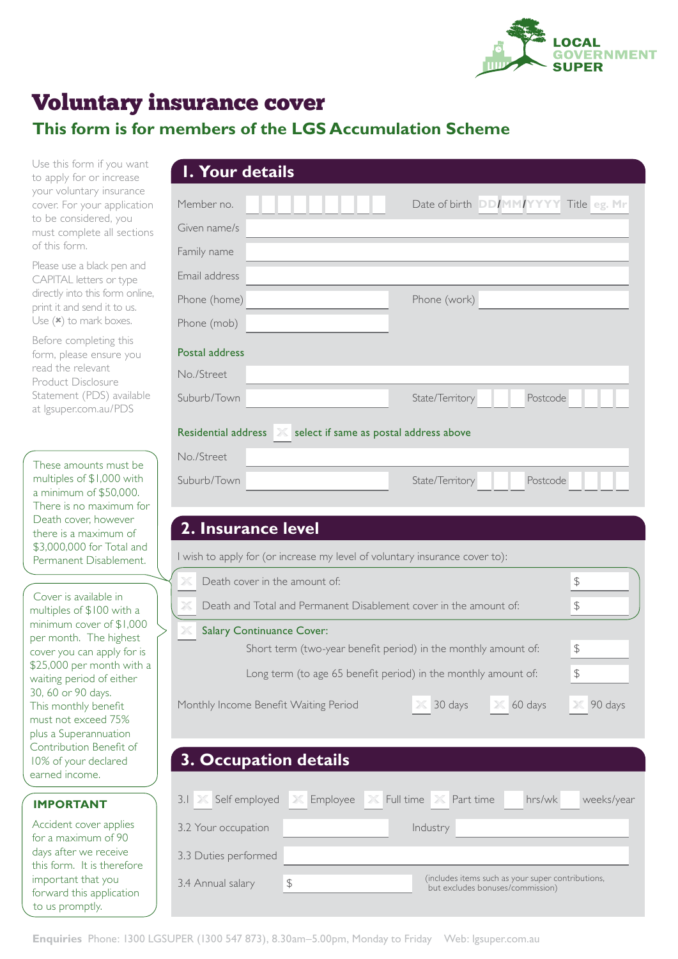

# Voluntary insurance cover

# **This form is for n**

Use this form if you want to apply for or increase your voluntary insurance cover. For your application to be considered, you must complete all sections of this form.

Please use a black pen and CAPITAL letters or type directly into this form online, print it and send it to us. Use  $(\star)$  to mark boxes.

Before completing this form, please ensure you read the relevant Product Disclosure Statement (PDS) available at [lgsuper.com.au/PDS](http://lgsuper.com.au/PDS)

These amounts must be multiples of \$1,000 with a minimum of \$50,000. There is no maximum for Death cover, however there is a maximum of \$3,000,000 for Total and Permanent Disablement.

Cover is available in multiples of \$100 with a minimum cover of \$1,000 per month. The highest cover you can apply for is \$25,000 per month with a waiting period of either 30, 60 or 90 days. This monthly benefit must not exceed 75% plus a Superannuation Contribution Benefit of 10% of your declared earned income.

**IMPORTANT**

to us promptly.

Accident cover applies for a maximum of 90 days after we receive this form. It is therefore important that you forward this application

| Member no.          |               |                                        | Date of birth DD/MM/YYYY Title eg. Mr |
|---------------------|---------------|----------------------------------------|---------------------------------------|
| Given name/s        |               |                                        |                                       |
| Family name         |               |                                        |                                       |
| Email address       |               |                                        |                                       |
| Phone (home)        |               | Phone (work)                           |                                       |
| Phone (mob)         |               |                                        |                                       |
| Postal address      |               |                                        |                                       |
| No./Street          |               |                                        |                                       |
| Suburb/Town         |               | State/Territory                        | Postcode                              |
| Residential address | $\rightarrow$ | select if same as postal address above |                                       |
| No./Street          |               |                                        |                                       |
| Suburb/Town         |               | State/Territory                        | Postcode                              |
|                     |               |                                        |                                       |
|                     |               |                                        |                                       |

# Long term (to age 65 benefit period) in the monthly amount of:  $\frac{1}{2}$ Monthly Income Benefit Waiting Period **X** 30 days **X** 60 days **X** 90 days 3.1 **X** Self employed **X** Employee **X** Full time **X** Part time hrs/wk weeks/year 3.2 Your occupation and industry 3.3 Duties performed 3.4 Annual salary  $\frac{1}{3}$   $\frac{1}{3}$  (includes items such as your super contributions, but excludes bonuses/commission) **3. Occupation details**  $60 \text{ days}$ **X X X X**

Short term (two-year benefit period) in the monthly amount of:  $\frac{1}{2}$ 

**Death and Total and Permanent Disablement cover in the amount of:**  $\sqrt{s}$ 

## **Enquiries** Phone: 1300 LGSUPER (1300 547 873), 8.30am–5.00pm, Monday to Friday Web: lgsuper.com.au

**Salary Continuance Cover:** 

**X**

**X**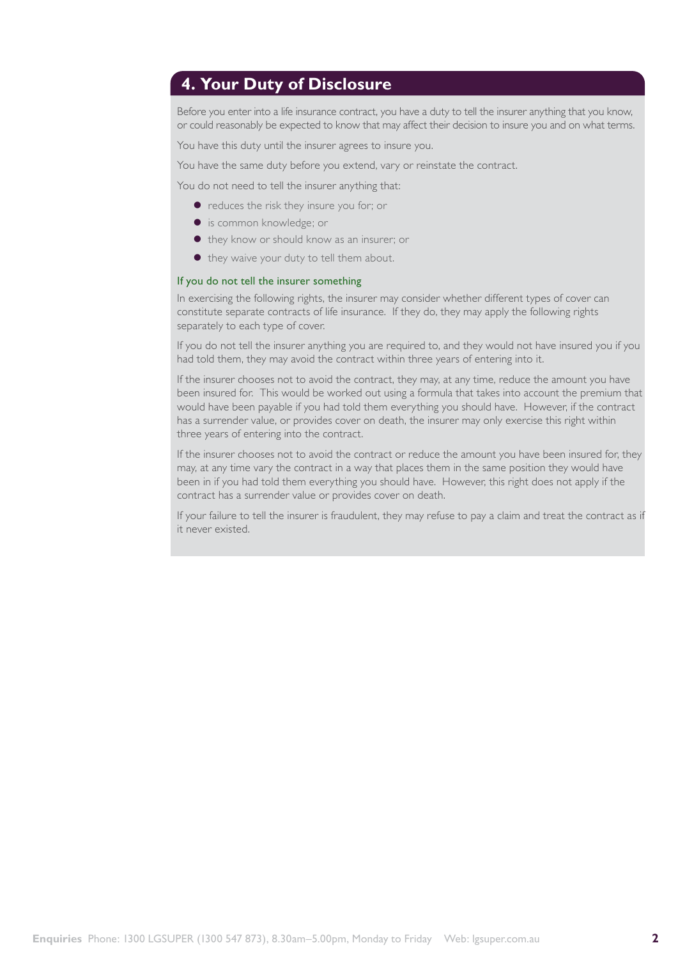## **4. Your Duty of Disclosure**

Before you enter into a life insurance contract, you have a duty to tell the insurer anything that you know, or could reasonably be expected to know that may affect their decision to insure you and on what terms.

You have this duty until the insurer agrees to insure you.

You have the same duty before you extend, vary or reinstate the contract.

You do not need to tell the insurer anything that:

- $\bullet$  reduces the risk they insure you for; or
- **.** is common knowledge; or
- they know or should know as an insurer; or
- they waive your duty to tell them about.

### If you do not tell the insurer something

In exercising the following rights, the insurer may consider whether different types of cover can constitute separate contracts of life insurance. If they do, they may apply the following rights separately to each type of cover.

If you do not tell the insurer anything you are required to, and they would not have insured you if you had told them, they may avoid the contract within three years of entering into it.

If the insurer chooses not to avoid the contract, they may, at any time, reduce the amount you have been insured for. This would be worked out using a formula that takes into account the premium that would have been payable if you had told them everything you should have. However, if the contract has a surrender value, or provides cover on death, the insurer may only exercise this right within three years of entering into the contract.

If the insurer chooses not to avoid the contract or reduce the amount you have been insured for, they may, at any time vary the contract in a way that places them in the same position they would have been in if you had told them everything you should have. However, this right does not apply if the contract has a surrender value or provides cover on death.

If your failure to tell the insurer is fraudulent, they may refuse to pay a claim and treat the contract as if it never existed.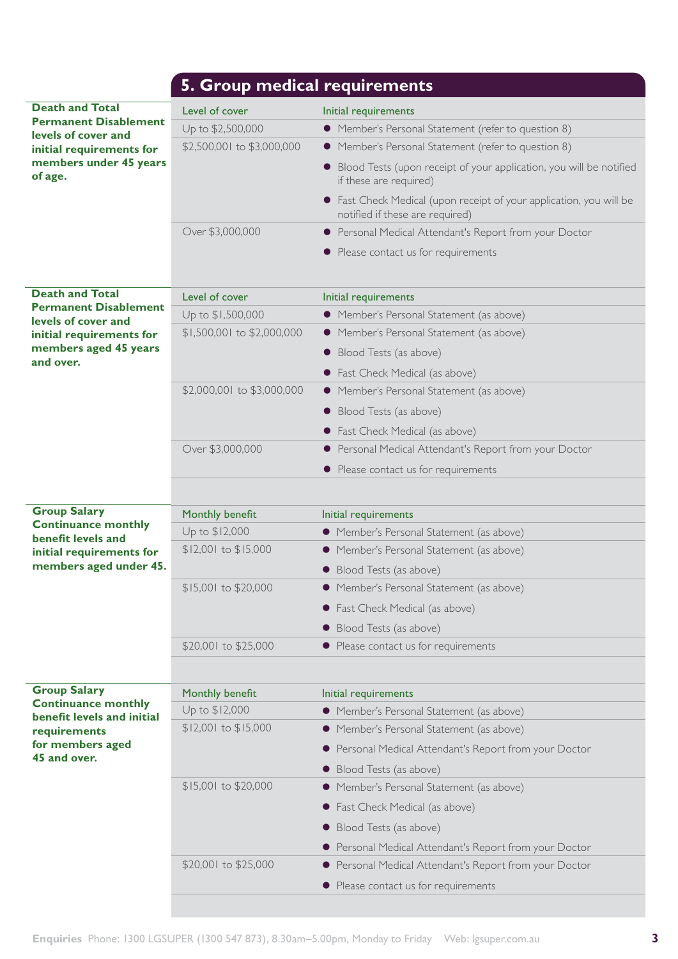|                                                          | 5. Group medical requirements |                                                                                                        |
|----------------------------------------------------------|-------------------------------|--------------------------------------------------------------------------------------------------------|
| <b>Death and Total</b>                                   | Level of cover                | Initial requirements                                                                                   |
| <b>Permanent Disablement</b><br>levels of cover and      | Up to \$2,500,000             | • Member's Personal Statement (refer to question 8)                                                    |
| initial requirements for                                 | \$2,500,001 to \$3,000,000    | • Member's Personal Statement (refer to question 8)                                                    |
| members under 45 years<br>of age.                        |                               | • Blood Tests (upon receipt of your application, you will be notified<br>if these are required)        |
|                                                          |                               | • Fast Check Medical (upon receipt of your application, you will be<br>notified if these are required) |
|                                                          | Over \$3,000,000              | • Personal Medical Attendant's Report from your Doctor                                                 |
|                                                          |                               | • Please contact us for requirements                                                                   |
| <b>Death and Total</b>                                   | Level of cover                | Initial requirements                                                                                   |
| <b>Permanent Disablement</b><br>levels of cover and      | Up to \$1,500,000             | • Member's Personal Statement (as above)                                                               |
| initial requirements for                                 | \$1,500,001 to \$2,000,000    | • Member's Personal Statement (as above)                                                               |
| members aged 45 years                                    |                               | • Blood Tests (as above)                                                                               |
| and over.                                                |                               | • Fast Check Medical (as above)                                                                        |
|                                                          | \$2,000,001 to \$3,000,000    | • Member's Personal Statement (as above)                                                               |
|                                                          |                               | • Blood Tests (as above)                                                                               |
|                                                          |                               | • Fast Check Medical (as above)                                                                        |
|                                                          | Over \$3,000,000              | • Personal Medical Attendant's Report from your Doctor                                                 |
|                                                          |                               | • Please contact us for requirements                                                                   |
|                                                          |                               |                                                                                                        |
| <b>Group Salary</b>                                      | Monthly benefit               | Initial requirements                                                                                   |
| <b>Continuance monthly</b><br>benefit levels and         | Up to \$12,000                | • Member's Personal Statement (as above)                                                               |
| initial requirements for                                 | \$12,001 to \$15,000          | • Member's Personal Statement (as above)                                                               |
| members aged under 45.                                   |                               | • Blood Tests (as above)                                                                               |
|                                                          | \$15,001 to \$20,000          | • Member's Personal Statement (as above)                                                               |
|                                                          |                               | • Fast Check Medical (as above)                                                                        |
|                                                          |                               | • Blood Tests (as above)                                                                               |
|                                                          | \$20,001 to \$25,000          | • Please contact us for requirements                                                                   |
|                                                          |                               |                                                                                                        |
| <b>Group Salary</b>                                      | Monthly benefit               | Initial requirements                                                                                   |
| <b>Continuance monthly</b><br>benefit levels and initial | Up to \$12,000                | • Member's Personal Statement (as above)                                                               |
| requirements                                             | \$12,001 to \$15,000          | • Member's Personal Statement (as above)                                                               |
| for members aged                                         |                               | • Personal Medical Attendant's Report from your Doctor                                                 |
| 45 and over.                                             |                               | • Blood Tests (as above)                                                                               |
|                                                          | \$15,001 to \$20,000          | • Member's Personal Statement (as above)                                                               |
|                                                          |                               | • Fast Check Medical (as above)                                                                        |
|                                                          |                               | • Blood Tests (as above)                                                                               |
|                                                          |                               | • Personal Medical Attendant's Report from your Doctor                                                 |
|                                                          | \$20,001 to \$25,000          | • Personal Medical Attendant's Report from your Doctor                                                 |
|                                                          |                               | • Please contact us for requirements                                                                   |
|                                                          |                               |                                                                                                        |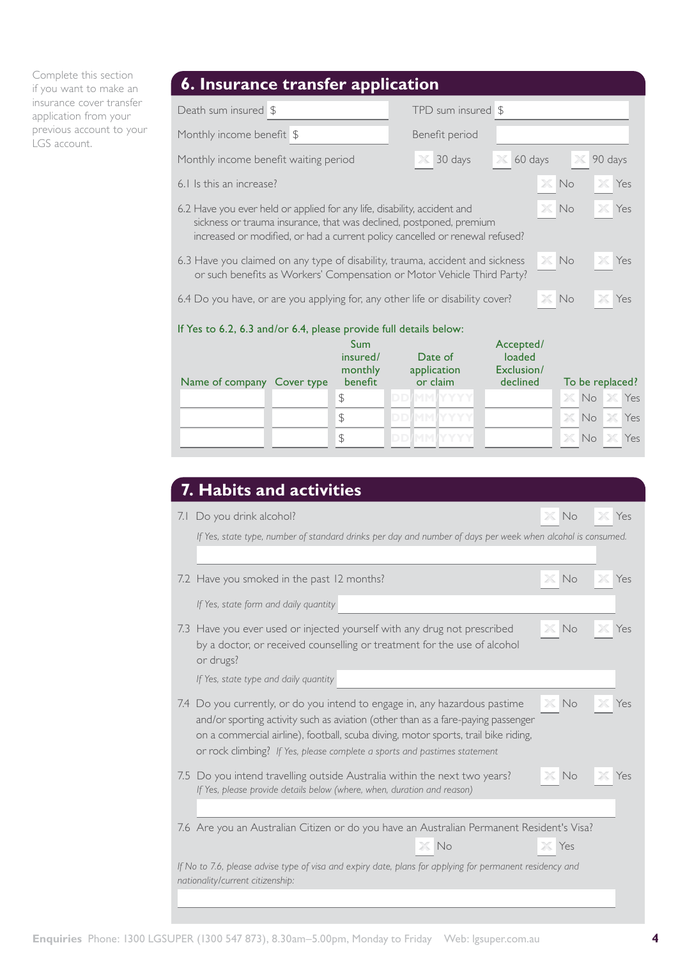Complete this section if you want to make an insurance cover transfer application from your previous account to your LGS account.

# **6. Insurance transfer application**

| Death sum insured \$                                                                                                                                                                                                                                  |            |                                                         |                   | TPD sum insured \$                 |                                               |             |             |         |                               |
|-------------------------------------------------------------------------------------------------------------------------------------------------------------------------------------------------------------------------------------------------------|------------|---------------------------------------------------------|-------------------|------------------------------------|-----------------------------------------------|-------------|-------------|---------|-------------------------------|
| Monthly income benefit \$                                                                                                                                                                                                                             |            |                                                         |                   | Benefit period                     |                                               |             |             |         |                               |
| Monthly income benefit waiting period                                                                                                                                                                                                                 |            |                                                         |                   | 30 days                            | 60 days<br>$\times$                           |             | X           | 90 days |                               |
| 6.1 Is this an increase?                                                                                                                                                                                                                              |            |                                                         |                   |                                    |                                               | $\times$ No | X           | Yes     |                               |
| $\times$ No<br>6.2 Have you ever held or applied for any life, disability, accident and<br>Yes<br>sickness or trauma insurance, that was declined, postponed, premium<br>increased or modified, or had a current policy cancelled or renewal refused? |            |                                                         |                   |                                    |                                               |             |             |         |                               |
| 6.3 Have you claimed on any type of disability, trauma, accident and sickness<br>or such benefits as Workers' Compensation or Motor Vehicle Third Party?                                                                                              |            |                                                         |                   |                                    |                                               |             | $X$ No      |         | Yes                           |
| 6.4 Do you have, or are you applying for, any other life or disability cover?                                                                                                                                                                         |            |                                                         |                   |                                    |                                               | X           | No          |         | Yes                           |
| If Yes to 6.2, 6.3 and/or 6.4, please provide full details below:                                                                                                                                                                                     |            |                                                         |                   |                                    |                                               |             |             |         |                               |
| Name of company                                                                                                                                                                                                                                       | Cover type | Sum<br>insured/<br>monthly<br>benefit<br>$\updownarrow$ | <b>DD/MM/YYYY</b> | Date of<br>application<br>or claim | Accepted/<br>loaded<br>Exclusion/<br>declined |             |             |         | To be replaced?<br>X No X Yes |
|                                                                                                                                                                                                                                                       |            | $\mathcal{L}$                                           | <b>DD/MM/YYYY</b> |                                    |                                               |             | $\times$ No |         | Yes                           |

 $\overline{\text{SD/MM} \text{MY} \text{YYYY}}$ 

| 7.1 Do you drink alcohol?                                                                                                                                                                                                                                                                                                         | No           | Yes |
|-----------------------------------------------------------------------------------------------------------------------------------------------------------------------------------------------------------------------------------------------------------------------------------------------------------------------------------|--------------|-----|
| If Yes, state type, number of standard drinks per day and number of days per week when alcohol is consumed.                                                                                                                                                                                                                       |              |     |
| 7.2 Have you smoked in the past 12 months?                                                                                                                                                                                                                                                                                        | No           | Yes |
| If Yes, state form and daily quantity                                                                                                                                                                                                                                                                                             |              |     |
| 7.3 Have you ever used or injected yourself with any drug not prescribed<br>by a doctor, or received counselling or treatment for the use of alcohol<br>or drugs?                                                                                                                                                                 | No<br>$\chi$ | Yes |
| If Yes, state type and daily quantity                                                                                                                                                                                                                                                                                             |              |     |
| 7.4 Do you currently, or do you intend to engage in, any hazardous pastime<br>and/or sporting activity such as aviation (other than as a fare-paying passenger<br>on a commercial airline), football, scuba diving, motor sports, trail bike riding,<br>or rock climbing? If Yes, please complete a sports and pastimes statement | No           |     |
| 7.5 Do you intend travelling outside Australia within the next two years?<br>If Yes, please provide details below (where, when, duration and reason)                                                                                                                                                                              | <b>No</b>    |     |
| 7.6 Are you an Australian Citizen or do you have an Australian Permanent Resident's Visa?                                                                                                                                                                                                                                         |              |     |
| $\times$ No                                                                                                                                                                                                                                                                                                                       | Yes          |     |
| If No to 7.6, please advise type of visa and expiry date, plans for applying for permanent residency and                                                                                                                                                                                                                          |              |     |

 $X$  **No**  $X$  Yes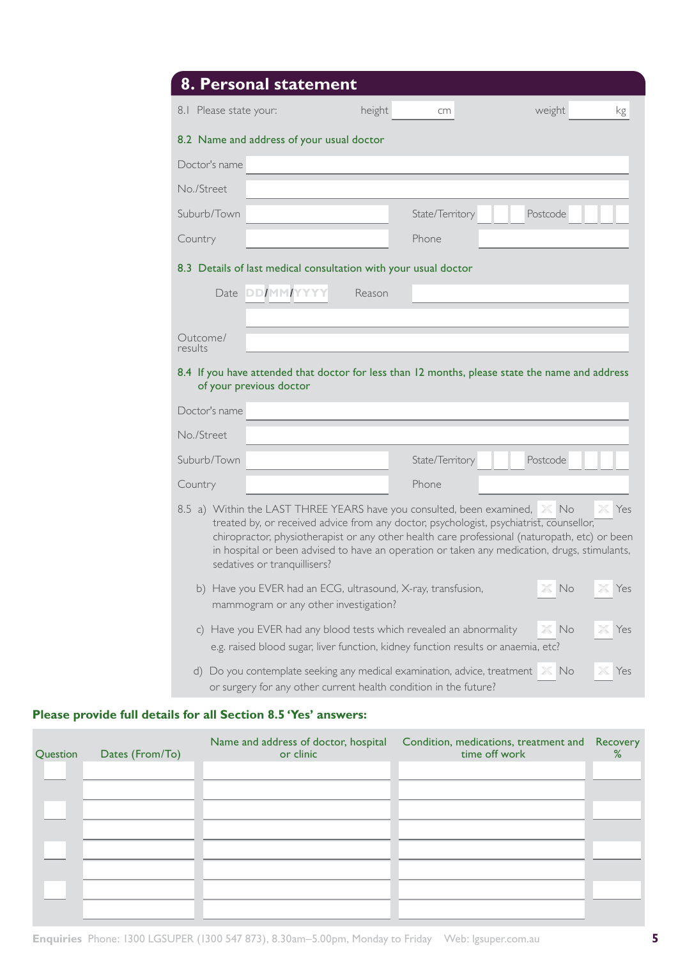|                        | 8. Personal statement                                                                                                                                                                                                                                                                                                                                                                                  |        |                 |          |          |
|------------------------|--------------------------------------------------------------------------------------------------------------------------------------------------------------------------------------------------------------------------------------------------------------------------------------------------------------------------------------------------------------------------------------------------------|--------|-----------------|----------|----------|
| 8.1 Please state your: |                                                                                                                                                                                                                                                                                                                                                                                                        | height | cm              | weight   | kg       |
|                        | 8.2 Name and address of your usual doctor                                                                                                                                                                                                                                                                                                                                                              |        |                 |          |          |
| Doctor's name          |                                                                                                                                                                                                                                                                                                                                                                                                        |        |                 |          |          |
| No./Street             |                                                                                                                                                                                                                                                                                                                                                                                                        |        |                 |          |          |
| Suburb/Town            |                                                                                                                                                                                                                                                                                                                                                                                                        |        | State/Territory | Postcode |          |
| Country                |                                                                                                                                                                                                                                                                                                                                                                                                        |        | Phone           |          |          |
|                        | 8.3 Details of last medical consultation with your usual doctor                                                                                                                                                                                                                                                                                                                                        |        |                 |          |          |
|                        | Date DD/MM/YYYY                                                                                                                                                                                                                                                                                                                                                                                        | Reason |                 |          |          |
|                        |                                                                                                                                                                                                                                                                                                                                                                                                        |        |                 |          |          |
| Outcome/<br>results    |                                                                                                                                                                                                                                                                                                                                                                                                        |        |                 |          |          |
|                        | 8.4 If you have attended that doctor for less than 12 months, please state the name and address<br>of your previous doctor                                                                                                                                                                                                                                                                             |        |                 |          |          |
| Doctor's name          |                                                                                                                                                                                                                                                                                                                                                                                                        |        |                 |          |          |
| No./Street             |                                                                                                                                                                                                                                                                                                                                                                                                        |        |                 |          |          |
| Suburb/Town            |                                                                                                                                                                                                                                                                                                                                                                                                        |        | State/Territory | Postcode |          |
| Country                |                                                                                                                                                                                                                                                                                                                                                                                                        |        | Phone           |          |          |
|                        | 8.5 a) Within the LAST THREE YEARS have you consulted, been examined, X No<br>treated by, or received advice from any doctor, psychologist, psychiatrist, counsellor,<br>chiropractor, physiotherapist or any other health care professional (naturopath, etc) or been<br>in hospital or been advised to have an operation or taken any medication, drugs, stimulants,<br>sedatives or tranquillisers? |        |                 |          | Yes      |
| b)                     | Have you EVER had an ECG, ultrasound, X-ray, transfusion,<br>mammogram or any other investigation?                                                                                                                                                                                                                                                                                                     |        |                 | No       | Yes      |
| $\mathsf{C}$           | Have you EVER had any blood tests which revealed an abnormality<br>e.g. raised blood sugar, liver function, kidney function results or anaemia, etc?                                                                                                                                                                                                                                                   |        |                 | No<br>20 | $X$ Yes  |
| d)                     | Do you contemplate seeking any medical examination, advice, treatment X No<br>or surgery for any other current health condition in the future?                                                                                                                                                                                                                                                         |        |                 |          | Yes<br>X |

## **Please provide full details for all Section 8.5 'Yes' answers:**

| Question | Dates (From/To) | Name and address of doctor, hospital<br>or clinic | Condition, medications, treatment and Recovery<br>time off work | % |
|----------|-----------------|---------------------------------------------------|-----------------------------------------------------------------|---|
|          |                 |                                                   |                                                                 |   |
|          |                 |                                                   |                                                                 |   |
|          |                 |                                                   |                                                                 |   |
|          |                 |                                                   |                                                                 |   |
|          |                 |                                                   |                                                                 |   |
|          |                 |                                                   |                                                                 |   |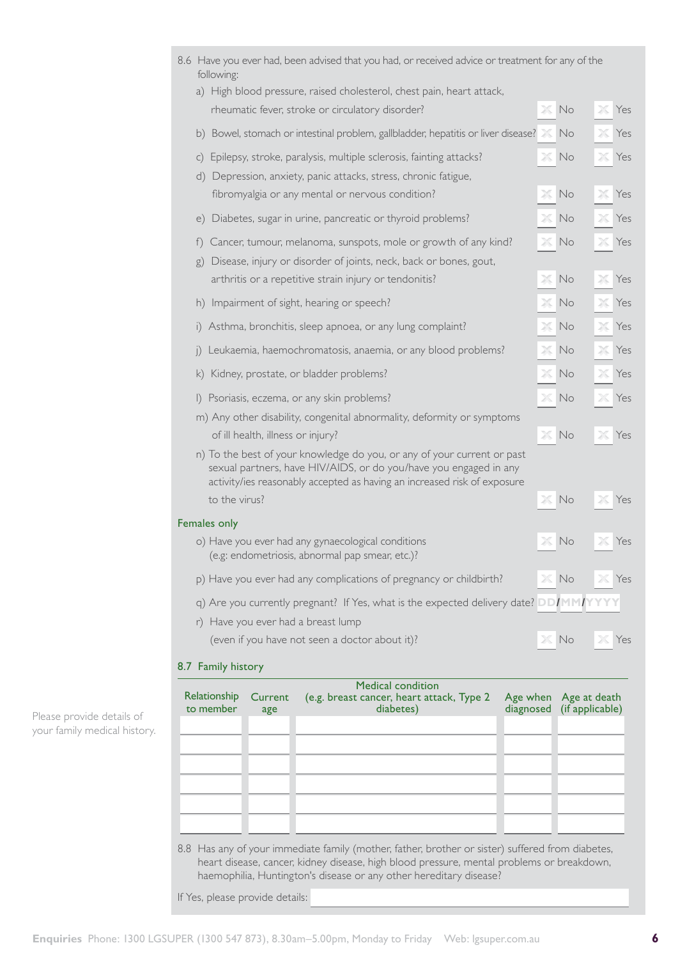|                                                                                                                | <b>Medical condition</b>                                                                                                                                       |          |    |           |  |  |
|----------------------------------------------------------------------------------------------------------------|----------------------------------------------------------------------------------------------------------------------------------------------------------------|----------|----|-----------|--|--|
|                                                                                                                | 8.7 Family history                                                                                                                                             |          |    |           |  |  |
|                                                                                                                | (even if you have not seen a doctor about it)?                                                                                                                 |          | No | Yes       |  |  |
|                                                                                                                | r) Have you ever had a breast lump                                                                                                                             |          |    |           |  |  |
|                                                                                                                | q) Are you currently pregnant? If Yes, what is the expected delivery date? DD/MM/Y                                                                             |          |    |           |  |  |
|                                                                                                                | p) Have you ever had any complications of pregnancy or childbirth?                                                                                             |          | No | Yes       |  |  |
|                                                                                                                | o) Have you ever had any gynaecological conditions<br>(e.g: endometriosis, abnormal pap smear, etc.)?                                                          |          | No | Yes       |  |  |
|                                                                                                                | Females only                                                                                                                                                   |          |    |           |  |  |
|                                                                                                                | sexual partners, have HIV/AIDS, or do you/have you engaged in any<br>activity/ies reasonably accepted as having an increased risk of exposure<br>to the virus? | ж        | No | Ж<br>Yes  |  |  |
|                                                                                                                | n) To the best of your knowledge do you, or any of your current or past                                                                                        |          |    |           |  |  |
|                                                                                                                | m) Any other disability, congenital abnormality, deformity or symptoms<br>of ill health, illness or injury?                                                    | $\times$ | No | Yes       |  |  |
| $\vert$                                                                                                        | Psoriasis, eczema, or any skin problems?                                                                                                                       | 20       | No | Yes       |  |  |
| $\mathsf{K}$                                                                                                   | Kidney, prostate, or bladder problems?                                                                                                                         | Х        | No | Yes<br>X  |  |  |
| $\vert$ )                                                                                                      | Leukaemia, haemochromatosis, anaemia, or any blood problems?                                                                                                   | X        | No | Yes<br>ж  |  |  |
| $\left  \right $                                                                                               | Asthma, bronchitis, sleep apnoea, or any lung complaint?                                                                                                       | X        | No | Yes<br>Ж  |  |  |
|                                                                                                                |                                                                                                                                                                |          |    | ж         |  |  |
| h)                                                                                                             | Impairment of sight, hearing or speech?                                                                                                                        | X        | No | Yes       |  |  |
| g)                                                                                                             | Disease, injury or disorder of joints, neck, back or bones, gout,<br>arthritis or a repetitive strain injury or tendonitis?                                    | 26       | No | 26<br>Yes |  |  |
| $^{\dagger})$                                                                                                  | Cancer, tumour, melanoma, sunspots, mole or growth of any kind?                                                                                                |          | No | Yes       |  |  |
| e)                                                                                                             | Diabetes, sugar in urine, pancreatic or thyroid problems?                                                                                                      | 26       | No | Yes<br>Ж  |  |  |
| d)                                                                                                             | Depression, anxiety, panic attacks, stress, chronic fatigue,<br>fibromyalgia or any mental or nervous condition?                                               | 26       | No | Yes<br>Ж  |  |  |
| $\mathsf{C}$                                                                                                   | Epilepsy, stroke, paralysis, multiple sclerosis, fainting attacks?                                                                                             | Ж        | No | Yes       |  |  |
| b)                                                                                                             | Bowel, stomach or intestinal problem, gallbladder, hepatitis or liver disease?                                                                                 |          | No | Yes       |  |  |
|                                                                                                                | rheumatic fever, stroke or circulatory disorder?                                                                                                               | X        | No | X<br>Yes  |  |  |
|                                                                                                                | a) High blood pressure, raised cholesterol, chest pain, heart attack,                                                                                          |          |    |           |  |  |
| 8.6 Have you ever had, been advised that you had, or received advice or treatment for any of the<br>following: |                                                                                                                                                                |          |    |           |  |  |

Please provide details of your family medical history.

| Relationship<br>to member | Current<br>age | Medical condition<br>(e.g. breast cancer, heart attack, Type 2<br>diabetes) | Age when Age at death<br>diagnosed (if applicable) |
|---------------------------|----------------|-----------------------------------------------------------------------------|----------------------------------------------------|
|                           |                |                                                                             |                                                    |
|                           |                |                                                                             |                                                    |
|                           |                |                                                                             |                                                    |
|                           |                |                                                                             |                                                    |

8.8 Has any of your immediate family (mother, father, brother or sister) suffered from diabetes, heart disease, cancer, kidney disease, high blood pressure, mental problems or breakdown, haemophilia, Huntington's disease or any other hereditary disease?

If Yes, please provide details: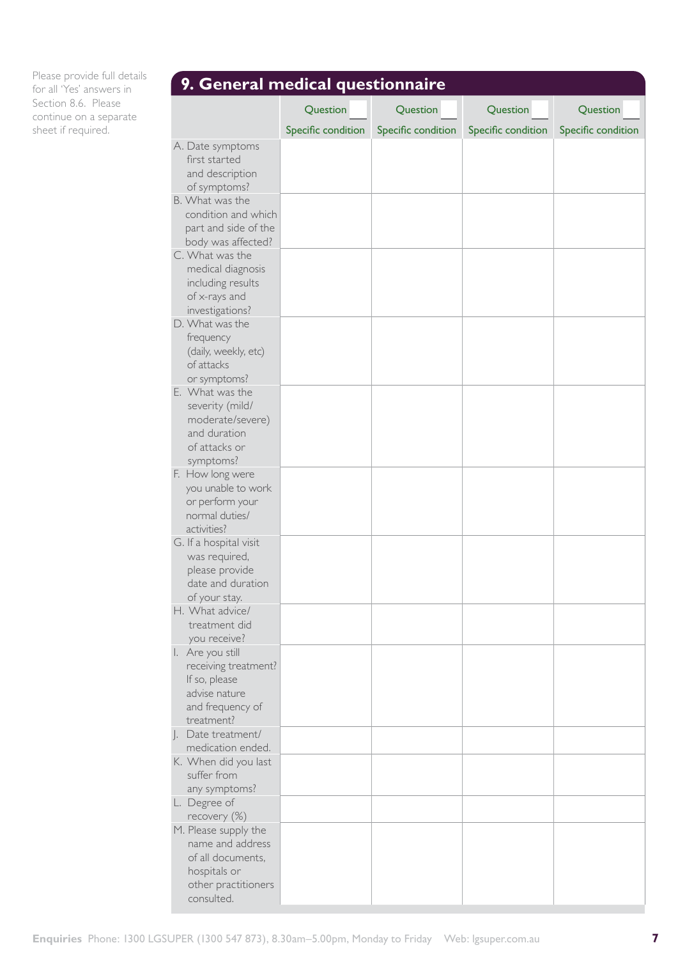Please provide full details for all 'Yes' answers in Section 8.6. Please continue on a separate sheet if required.

| 9. General medical questionnaire                                                                             |                    |                    |                    |                    |  |  |  |
|--------------------------------------------------------------------------------------------------------------|--------------------|--------------------|--------------------|--------------------|--|--|--|
|                                                                                                              | Question           | Question           | Question           | Question           |  |  |  |
|                                                                                                              | Specific condition | Specific condition | Specific condition | Specific condition |  |  |  |
| A. Date symptoms<br>first started<br>and description<br>of symptoms?                                         |                    |                    |                    |                    |  |  |  |
| B. What was the<br>condition and which<br>part and side of the<br>body was affected?                         |                    |                    |                    |                    |  |  |  |
| C. What was the<br>medical diagnosis<br>including results<br>of x-rays and<br>investigations?                |                    |                    |                    |                    |  |  |  |
| D. What was the<br>frequency<br>(daily, weekly, etc)<br>of attacks<br>or symptoms?                           |                    |                    |                    |                    |  |  |  |
| E. What was the<br>severity (mild/<br>moderate/severe)<br>and duration<br>of attacks or<br>symptoms?         |                    |                    |                    |                    |  |  |  |
| F. How long were<br>you unable to work<br>or perform your<br>normal duties/<br>activities?                   |                    |                    |                    |                    |  |  |  |
| G. If a hospital visit<br>was required,<br>please provide<br>date and duration<br>of your stay.              |                    |                    |                    |                    |  |  |  |
| H. What advice/<br>treatment did<br>you receive?                                                             |                    |                    |                    |                    |  |  |  |
| I. Are you still<br>receiving treatment?<br>If so, please<br>advise nature<br>and frequency of<br>treatment? |                    |                    |                    |                    |  |  |  |
| J. Date treatment/<br>medication ended.<br>K. When did you last                                              |                    |                    |                    |                    |  |  |  |
| suffer from<br>any symptoms?                                                                                 |                    |                    |                    |                    |  |  |  |
| L. Degree of<br>recovery (%)                                                                                 |                    |                    |                    |                    |  |  |  |
| M. Please supply the<br>name and address<br>of all documents,<br>hospitals or<br>other practitioners         |                    |                    |                    |                    |  |  |  |
| consulted.                                                                                                   |                    |                    |                    |                    |  |  |  |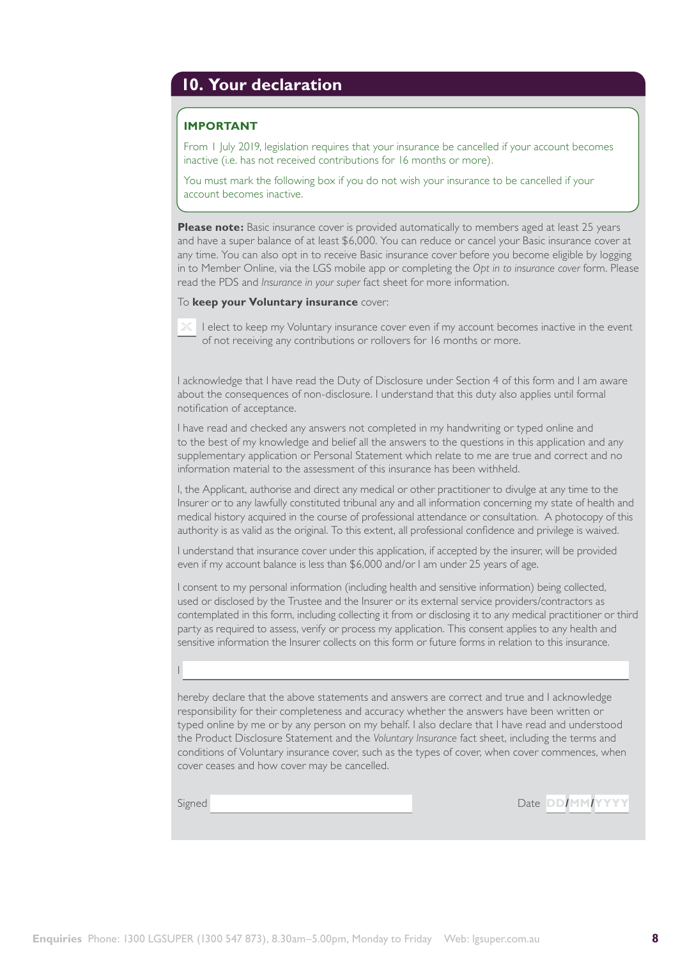## **10. Your declaration**

### **IMPORTANT**

From 1 July 2019, legislation requires that your insurance be cancelled if your account becomes inactive (i.e. has not received contributions for 16 months or more).

You must mark the following box if you do not wish your insurance to be cancelled if your account becomes inactive.

**Please note:** Basic insurance cover is provided automatically to members aged at least 25 years and have a super balance of at least \$6,000. You can reduce or cancel your Basic insurance cover at any time. You can also opt in to receive Basic insurance cover before you become eligible by logging in to Member Online, via the LGS mobile app or completing the *Opt in to insurance cover* form. Please read the PDS and *Insurance in your super* fact sheet for more information.

### To **keep your Voluntary insurance** cover:



I acknowledge that I have read the Duty of Disclosure under Section 4 of this form and I am aware about the consequences of non-disclosure. I understand that this duty also applies until formal notification of acceptance.

I have read and checked any answers not completed in my handwriting or typed online and to the best of my knowledge and belief all the answers to the questions in this application and any supplementary application or Personal Statement which relate to me are true and correct and no information material to the assessment of this insurance has been withheld.

I, the Applicant, authorise and direct any medical or other practitioner to divulge at any time to the Insurer or to any lawfully constituted tribunal any and all information concerning my state of health and medical history acquired in the course of professional attendance or consultation. A photocopy of this authority is as valid as the original. To this extent, all professional confidence and privilege is waived.

I understand that insurance cover under this application, if accepted by the insurer, will be provided even if my account balance is less than \$6,000 and/or I am under 25 years of age.

I consent to my personal information (including health and sensitive information) being collected, used or disclosed by the Trustee and the Insurer or its external service providers/contractors as contemplated in this form, including collecting it from or disclosing it to any medical practitioner or third party as required to assess, verify or process my application. This consent applies to any health and sensitive information the Insurer collects on this form or future forms in relation to this insurance.

hereby declare that the above statements and answers are correct and true and I acknowledge responsibility for their completeness and accuracy whether the answers have been written or typed online by me or by any person on my behalf. I also declare that I have read and understood the Product Disclosure Statement and the *Voluntary Insurance* fact sheet, including the terms and conditions of Voluntary insurance cover, such as the types of cover, when cover commences, when cover ceases and how cover may be cancelled.

I

Signed **Date DD/MM/YYYYY**